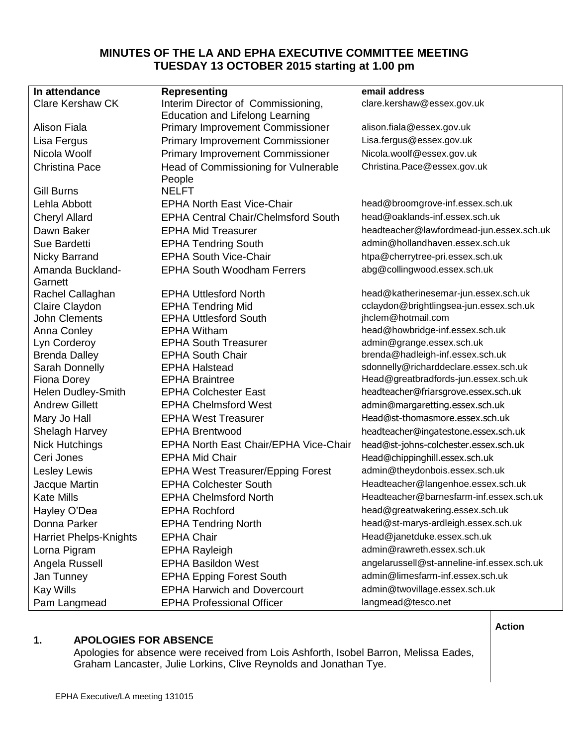# **MINUTES OF THE LA AND EPHA EXECUTIVE COMMITTEE MEETING TUESDAY 13 OCTOBER 2015 starting at 1.00 pm**

| In attendance                 | <b>Representing</b>                          | email address                                                               |
|-------------------------------|----------------------------------------------|-----------------------------------------------------------------------------|
| <b>Clare Kershaw CK</b>       | Interim Director of Commissioning,           | clare.kershaw@essex.gov.uk                                                  |
|                               | <b>Education and Lifelong Learning</b>       |                                                                             |
| <b>Alison Fiala</b>           | <b>Primary Improvement Commissioner</b>      | alison.fiala@essex.gov.uk                                                   |
| Lisa Fergus                   | <b>Primary Improvement Commissioner</b>      | Lisa.fergus@essex.gov.uk                                                    |
| Nicola Woolf                  | <b>Primary Improvement Commissioner</b>      | Nicola.woolf@essex.gov.uk                                                   |
| <b>Christina Pace</b>         | Head of Commissioning for Vulnerable         | Christina.Pace@essex.gov.uk                                                 |
| <b>Gill Burns</b>             | People<br><b>NELFT</b>                       |                                                                             |
| Lehla Abbott                  | <b>EPHA North East Vice-Chair</b>            | head@broomgrove-inf.essex.sch.uk                                            |
|                               | <b>EPHA Central Chair/Chelmsford South</b>   | head@oaklands-inf.essex.sch.uk                                              |
| <b>Cheryl Allard</b>          |                                              |                                                                             |
| Dawn Baker<br>Sue Bardetti    | <b>EPHA Mid Treasurer</b>                    | headteacher@lawfordmead-jun.essex.sch.uk<br>admin@hollandhaven.essex.sch.uk |
|                               | <b>EPHA Tendring South</b>                   |                                                                             |
| <b>Nicky Barrand</b>          | <b>EPHA South Vice-Chair</b>                 | htpa@cherrytree-pri.essex.sch.uk                                            |
| Amanda Buckland-<br>Garnett   | <b>EPHA South Woodham Ferrers</b>            | abg@collingwood.essex.sch.uk                                                |
| Rachel Callaghan              | <b>EPHA Uttlesford North</b>                 | head@katherinesemar-jun.essex.sch.uk                                        |
| Claire Claydon                | <b>EPHA Tendring Mid</b>                     | cclaydon@brightlingsea-jun.essex.sch.uk                                     |
| <b>John Clements</b>          | <b>EPHA Uttlesford South</b>                 | jhclem@hotmail.com                                                          |
| Anna Conley                   | <b>EPHA Witham</b>                           | head@howbridge-inf.essex.sch.uk                                             |
| Lyn Corderoy                  | <b>EPHA South Treasurer</b>                  | admin@grange.essex.sch.uk                                                   |
| <b>Brenda Dalley</b>          | <b>EPHA South Chair</b>                      | brenda@hadleigh-inf.essex.sch.uk                                            |
| Sarah Donnelly                | <b>EPHA Halstead</b>                         | sdonnelly@richarddeclare.essex.sch.uk                                       |
| <b>Fiona Dorey</b>            | <b>EPHA Braintree</b>                        | Head@greatbradfords-jun.essex.sch.uk                                        |
| Helen Dudley-Smith            | <b>EPHA Colchester East</b>                  | headteacher@friarsgrove.essex.sch.uk                                        |
| <b>Andrew Gillett</b>         | <b>EPHA Chelmsford West</b>                  | admin@margaretting.essex.sch.uk                                             |
| Mary Jo Hall                  | <b>EPHA West Treasurer</b>                   | Head@st-thomasmore.essex.sch.uk                                             |
| Shelagh Harvey                | <b>EPHA Brentwood</b>                        | headteacher@ingatestone.essex.sch.uk                                        |
| <b>Nick Hutchings</b>         | <b>EPHA North East Chair/EPHA Vice-Chair</b> | head@st-johns-colchester.essex.sch.uk                                       |
| Ceri Jones                    | <b>EPHA Mid Chair</b>                        | Head@chippinghill.essex.sch.uk                                              |
| Lesley Lewis                  | <b>EPHA West Treasurer/Epping Forest</b>     | admin@theydonbois.essex.sch.uk                                              |
| Jacque Martin                 | <b>EPHA Colchester South</b>                 | Headteacher@langenhoe.essex.sch.uk                                          |
| <b>Kate Mills</b>             | <b>EPHA Chelmsford North</b>                 | Headteacher@barnesfarm-inf.essex.sch.uk                                     |
| Hayley O'Dea                  | <b>EPHA Rochford</b>                         | head@greatwakering.essex.sch.uk                                             |
| Donna Parker                  | <b>EPHA Tendring North</b>                   | head@st-marys-ardleigh.essex.sch.uk                                         |
| <b>Harriet Phelps-Knights</b> | <b>EPHA Chair</b>                            | Head@janetduke.essex.sch.uk                                                 |
| Lorna Pigram                  | <b>EPHA Rayleigh</b>                         | admin@rawreth.essex.sch.uk                                                  |
| Angela Russell                | <b>EPHA Basildon West</b>                    | angelarussell@st-anneline-inf.essex.sch.uk                                  |
| Jan Tunney                    | <b>EPHA Epping Forest South</b>              | admin@limesfarm-inf.essex.sch.uk                                            |
| <b>Kay Wills</b>              | <b>EPHA Harwich and Dovercourt</b>           | admin@twovillage.essex.sch.uk                                               |
| Pam Langmead                  | <b>EPHA Professional Officer</b>             | langmead@tesco.net                                                          |

#### **Action**

## **1. APOLOGIES FOR ABSENCE**

Apologies for absence were received from Lois Ashforth, Isobel Barron, Melissa Eades, Graham Lancaster, Julie Lorkins, Clive Reynolds and Jonathan Tye.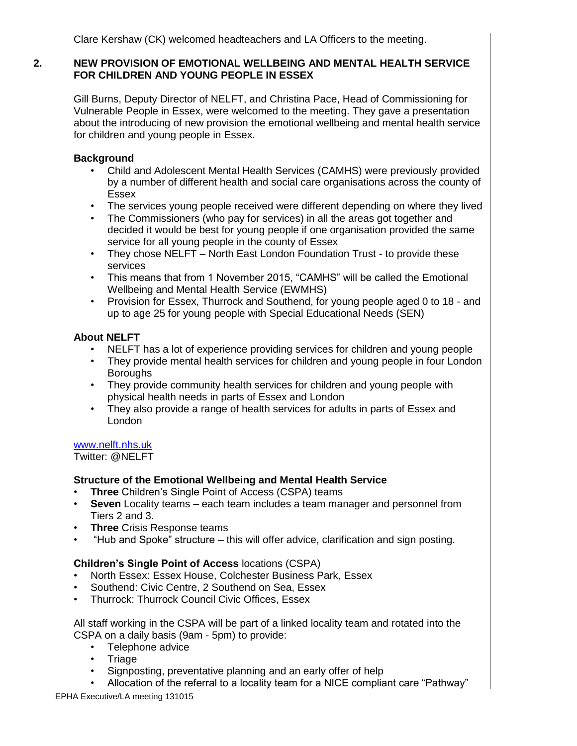## **2. NEW PROVISION OF EMOTIONAL WELLBEING AND MENTAL HEALTH SERVICE FOR CHILDREN AND YOUNG PEOPLE IN ESSEX**

Gill Burns, Deputy Director of NELFT, and Christina Pace, Head of Commissioning for Vulnerable People in Essex, were welcomed to the meeting. They gave a presentation about the introducing of new provision the emotional wellbeing and mental health service for children and young people in Essex.

## **Background**

- Child and Adolescent Mental Health Services (CAMHS) were previously provided by a number of different health and social care organisations across the county of Essex
- The services young people received were different depending on where they lived
- The Commissioners (who pay for services) in all the areas got together and decided it would be best for young people if one organisation provided the same service for all young people in the county of Essex
- They chose NELFT North East London Foundation Trust to provide these services
- This means that from 1 November 2015, "CAMHS" will be called the Emotional Wellbeing and Mental Health Service (EWMHS)
- Provision for Essex, Thurrock and Southend, for young people aged 0 to 18 and up to age 25 for young people with Special Educational Needs (SEN)

## **About NELFT**

- NELFT has a lot of experience providing services for children and young people
- They provide mental health services for children and young people in four London **Boroughs**
- They provide community health services for children and young people with physical health needs in parts of Essex and London
- They also provide a range of health services for adults in parts of Essex and London

## [www.nelft.nhs.uk](http://www.nelft.nhs.uk/)

Twitter: @NELFT

# **Structure of the Emotional Wellbeing and Mental Health Service**

- **Three** Children's Single Point of Access (CSPA) teams
- **Seven** Locality teams each team includes a team manager and personnel from Tiers 2 and 3.
- **Three** Crisis Response teams
- "Hub and Spoke" structure this will offer advice, clarification and sign posting.

# **Children's Single Point of Access** locations (CSPA)

- North Essex: Essex House, Colchester Business Park, Essex
- Southend: Civic Centre, 2 Southend on Sea, Essex
- Thurrock: Thurrock Council Civic Offices, Essex

All staff working in the CSPA will be part of a linked locality team and rotated into the CSPA on a daily basis (9am - 5pm) to provide:

- Telephone advice
- Triage
- Signposting, preventative planning and an early offer of help
- Allocation of the referral to a locality team for a NICE compliant care "Pathway"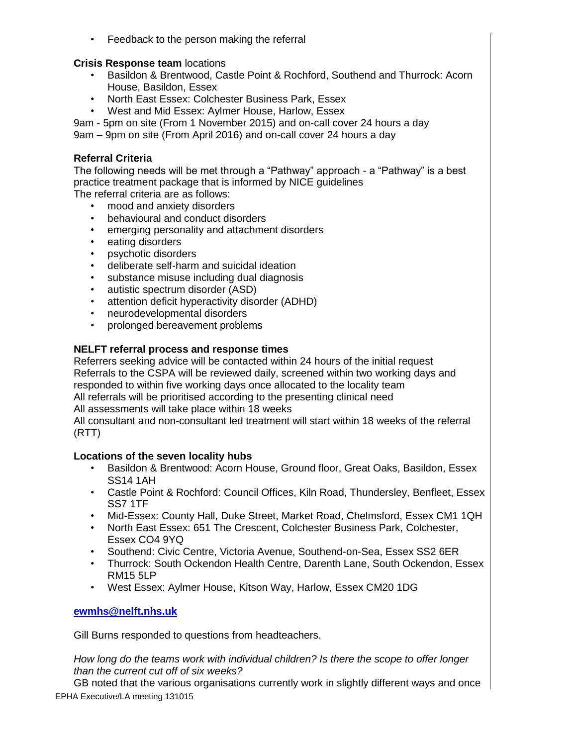• Feedback to the person making the referral

## **Crisis Response team** locations

- Basildon & Brentwood, Castle Point & Rochford, Southend and Thurrock: Acorn House, Basildon, Essex
- North East Essex: Colchester Business Park, Essex
- West and Mid Essex: Aylmer House, Harlow, Essex
- 9am 5pm on site (From 1 November 2015) and on-call cover 24 hours a day

9am – 9pm on site (From April 2016) and on-call cover 24 hours a day

## **Referral Criteria**

The following needs will be met through a "Pathway" approach - a "Pathway" is a best practice treatment package that is informed by NICE guidelines

The referral criteria are as follows:

- mood and anxiety disorders
- behavioural and conduct disorders
- emerging personality and attachment disorders
- eating disorders
- psychotic disorders
- deliberate self-harm and suicidal ideation
- substance misuse including dual diagnosis
- autistic spectrum disorder (ASD)
- attention deficit hyperactivity disorder (ADHD)
- neurodevelopmental disorders
- prolonged bereavement problems

# **NELFT referral process and response times**

Referrers seeking advice will be contacted within 24 hours of the initial request Referrals to the CSPA will be reviewed daily, screened within two working days and responded to within five working days once allocated to the locality team All referrals will be prioritised according to the presenting clinical need

All assessments will take place within 18 weeks

All consultant and non-consultant led treatment will start within 18 weeks of the referral (RTT)

## **Locations of the seven locality hubs**

- Basildon & Brentwood: Acorn House, Ground floor, Great Oaks, Basildon, Essex SS14 1AH
- Castle Point & Rochford: Council Offices, Kiln Road, Thundersley, Benfleet, Essex SS7 1TF
- Mid-Essex: County Hall, Duke Street, Market Road, Chelmsford, Essex CM1 1QH
- North East Essex: 651 The Crescent, Colchester Business Park, Colchester, Essex CO4 9YQ
- Southend: Civic Centre, Victoria Avenue, Southend-on-Sea, Essex SS2 6ER
- Thurrock: South Ockendon Health Centre, Darenth Lane, South Ockendon, Essex RM15 5LP
- West Essex: Aylmer House, Kitson Way, Harlow, Essex CM20 1DG

# **[ewmhs@nelft.nhs.uk](mailto:ewmhs@nelft.nhs.uk)**

Gill Burns responded to questions from headteachers.

*How long do the teams work with individual children? Is there the scope to offer longer than the current cut off of six weeks?*

EPHA Executive/LA meeting 131015 GB noted that the various organisations currently work in slightly different ways and once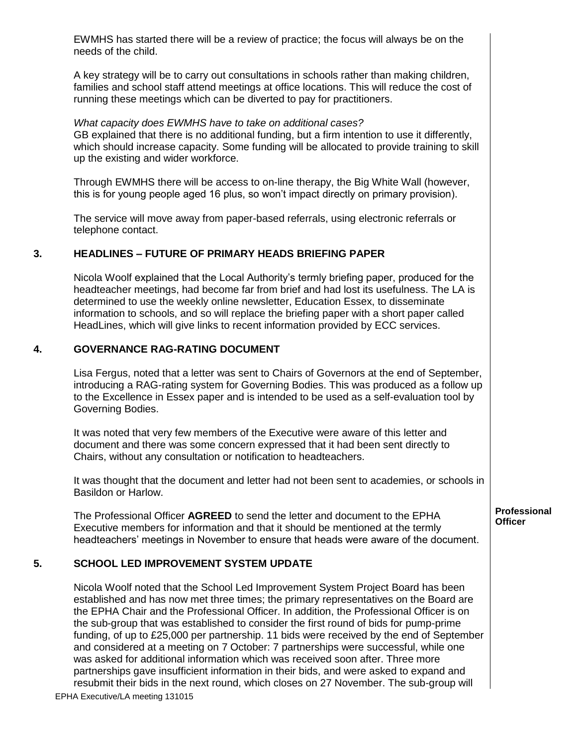EWMHS has started there will be a review of practice; the focus will always be on the needs of the child.

A key strategy will be to carry out consultations in schools rather than making children, families and school staff attend meetings at office locations. This will reduce the cost of running these meetings which can be diverted to pay for practitioners.

#### *What capacity does EWMHS have to take on additional cases?* GB explained that there is no additional funding, but a firm intention to use it differently, which should increase capacity. Some funding will be allocated to provide training to skill up the existing and wider workforce.

Through EWMHS there will be access to on-line therapy, the Big White Wall (however, this is for young people aged 16 plus, so won't impact directly on primary provision).

The service will move away from paper-based referrals, using electronic referrals or telephone contact.

## **3. HEADLINES – FUTURE OF PRIMARY HEADS BRIEFING PAPER**

Nicola Woolf explained that the Local Authority's termly briefing paper, produced for the headteacher meetings, had become far from brief and had lost its usefulness. The LA is determined to use the weekly online newsletter, Education Essex, to disseminate information to schools, and so will replace the briefing paper with a short paper called HeadLines, which will give links to recent information provided by ECC services.

## **4. GOVERNANCE RAG-RATING DOCUMENT**

Lisa Fergus, noted that a letter was sent to Chairs of Governors at the end of September, introducing a RAG-rating system for Governing Bodies. This was produced as a follow up to the Excellence in Essex paper and is intended to be used as a self-evaluation tool by Governing Bodies.

It was noted that very few members of the Executive were aware of this letter and document and there was some concern expressed that it had been sent directly to Chairs, without any consultation or notification to headteachers.

It was thought that the document and letter had not been sent to academies, or schools in Basildon or Harlow.

The Professional Officer **AGREED** to send the letter and document to the EPHA Executive members for information and that it should be mentioned at the termly headteachers' meetings in November to ensure that heads were aware of the document.

# **5. SCHOOL LED IMPROVEMENT SYSTEM UPDATE**

EPHA Executive/LA meeting 131015 Nicola Woolf noted that the School Led Improvement System Project Board has been established and has now met three times; the primary representatives on the Board are the EPHA Chair and the Professional Officer. In addition, the Professional Officer is on the sub-group that was established to consider the first round of bids for pump-prime funding, of up to £25,000 per partnership. 11 bids were received by the end of September and considered at a meeting on 7 October: 7 partnerships were successful, while one was asked for additional information which was received soon after. Three more partnerships gave insufficient information in their bids, and were asked to expand and resubmit their bids in the next round, which closes on 27 November. The sub-group will

**Professional Officer**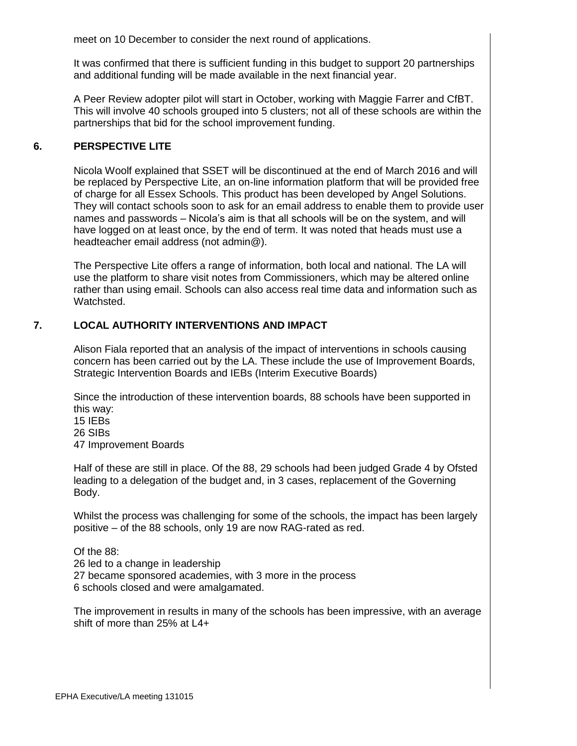meet on 10 December to consider the next round of applications.

It was confirmed that there is sufficient funding in this budget to support 20 partnerships and additional funding will be made available in the next financial year.

A Peer Review adopter pilot will start in October, working with Maggie Farrer and CfBT. This will involve 40 schools grouped into 5 clusters; not all of these schools are within the partnerships that bid for the school improvement funding.

## **6. PERSPECTIVE LITE**

Nicola Woolf explained that SSET will be discontinued at the end of March 2016 and will be replaced by Perspective Lite, an on-line information platform that will be provided free of charge for all Essex Schools. This product has been developed by Angel Solutions. They will contact schools soon to ask for an email address to enable them to provide user names and passwords – Nicola's aim is that all schools will be on the system, and will have logged on at least once, by the end of term. It was noted that heads must use a headteacher email address (not admin@).

The Perspective Lite offers a range of information, both local and national. The LA will use the platform to share visit notes from Commissioners, which may be altered online rather than using email. Schools can also access real time data and information such as Watchsted.

## **7. LOCAL AUTHORITY INTERVENTIONS AND IMPACT**

Alison Fiala reported that an analysis of the impact of interventions in schools causing concern has been carried out by the LA. These include the use of Improvement Boards, Strategic Intervention Boards and IEBs (Interim Executive Boards)

Since the introduction of these intervention boards, 88 schools have been supported in this way:

15 IEBs 26 SIBs 47 Improvement Boards

Half of these are still in place. Of the 88, 29 schools had been judged Grade 4 by Ofsted leading to a delegation of the budget and, in 3 cases, replacement of the Governing Body.

Whilst the process was challenging for some of the schools, the impact has been largely positive – of the 88 schools, only 19 are now RAG-rated as red.

Of the 88: 26 led to a change in leadership 27 became sponsored academies, with 3 more in the process 6 schools closed and were amalgamated.

The improvement in results in many of the schools has been impressive, with an average shift of more than 25% at L4+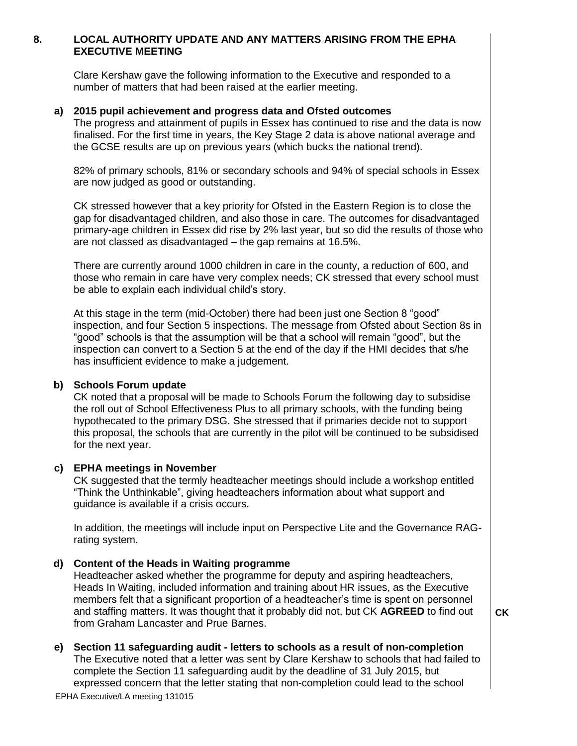#### **8. LOCAL AUTHORITY UPDATE AND ANY MATTERS ARISING FROM THE EPHA EXECUTIVE MEETING**

Clare Kershaw gave the following information to the Executive and responded to a number of matters that had been raised at the earlier meeting.

#### **a) 2015 pupil achievement and progress data and Ofsted outcomes**

The progress and attainment of pupils in Essex has continued to rise and the data is now finalised. For the first time in years, the Key Stage 2 data is above national average and the GCSE results are up on previous years (which bucks the national trend).

82% of primary schools, 81% or secondary schools and 94% of special schools in Essex are now judged as good or outstanding.

CK stressed however that a key priority for Ofsted in the Eastern Region is to close the gap for disadvantaged children, and also those in care. The outcomes for disadvantaged primary-age children in Essex did rise by 2% last year, but so did the results of those who are not classed as disadvantaged – the gap remains at 16.5%.

There are currently around 1000 children in care in the county, a reduction of 600, and those who remain in care have very complex needs; CK stressed that every school must be able to explain each individual child's story.

At this stage in the term (mid-October) there had been just one Section 8 "good" inspection, and four Section 5 inspections. The message from Ofsted about Section 8s in "good" schools is that the assumption will be that a school will remain "good", but the inspection can convert to a Section 5 at the end of the day if the HMI decides that s/he has insufficient evidence to make a judgement.

#### **b) Schools Forum update**

CK noted that a proposal will be made to Schools Forum the following day to subsidise the roll out of School Effectiveness Plus to all primary schools, with the funding being hypothecated to the primary DSG. She stressed that if primaries decide not to support this proposal, the schools that are currently in the pilot will be continued to be subsidised for the next year.

#### **c) EPHA meetings in November**

CK suggested that the termly headteacher meetings should include a workshop entitled "Think the Unthinkable", giving headteachers information about what support and guidance is available if a crisis occurs.

In addition, the meetings will include input on Perspective Lite and the Governance RAGrating system.

#### **d) Content of the Heads in Waiting programme**

Headteacher asked whether the programme for deputy and aspiring headteachers, Heads In Waiting, included information and training about HR issues, as the Executive members felt that a significant proportion of a headteacher's time is spent on personnel and staffing matters. It was thought that it probably did not, but CK **AGREED** to find out from Graham Lancaster and Prue Barnes.

**CK**

#### **e) Section 11 safeguarding audit - letters to schools as a result of non-completion**

The Executive noted that a letter was sent by Clare Kershaw to schools that had failed to complete the Section 11 safeguarding audit by the deadline of 31 July 2015, but expressed concern that the letter stating that non-completion could lead to the school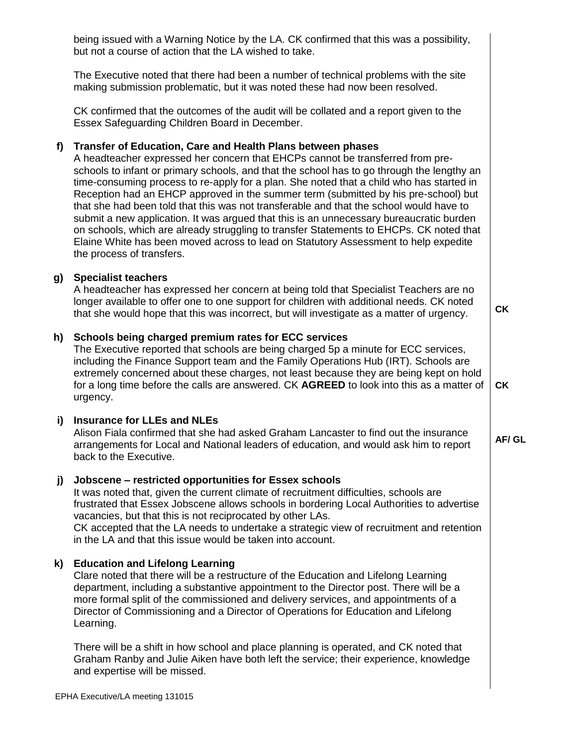being issued with a Warning Notice by the LA. CK confirmed that this was a possibility, but not a course of action that the LA wished to take.

The Executive noted that there had been a number of technical problems with the site making submission problematic, but it was noted these had now been resolved.

CK confirmed that the outcomes of the audit will be collated and a report given to the Essex Safeguarding Children Board in December.

#### **f) Transfer of Education, Care and Health Plans between phases**

A headteacher expressed her concern that EHCPs cannot be transferred from preschools to infant or primary schools, and that the school has to go through the lengthy an time-consuming process to re-apply for a plan. She noted that a child who has started in Reception had an EHCP approved in the summer term (submitted by his pre-school) but that she had been told that this was not transferable and that the school would have to submit a new application. It was argued that this is an unnecessary bureaucratic burden on schools, which are already struggling to transfer Statements to EHCPs. CK noted that Elaine White has been moved across to lead on Statutory Assessment to help expedite the process of transfers.

#### **g) Specialist teachers**

A headteacher has expressed her concern at being told that Specialist Teachers are no longer available to offer one to one support for children with additional needs. CK noted that she would hope that this was incorrect, but will investigate as a matter of urgency.

**CK**

**AF/ GL**

#### **h) Schools being charged premium rates for ECC services**

The Executive reported that schools are being charged 5p a minute for ECC services, including the Finance Support team and the Family Operations Hub (IRT). Schools are extremely concerned about these charges, not least because they are being kept on hold for a long time before the calls are answered. CK **AGREED** to look into this as a matter of urgency. **CK**

#### **i) Insurance for LLEs and NLEs**

Alison Fiala confirmed that she had asked Graham Lancaster to find out the insurance arrangements for Local and National leaders of education, and would ask him to report back to the Executive.

#### **j) Jobscene – restricted opportunities for Essex schools**

It was noted that, given the current climate of recruitment difficulties, schools are frustrated that Essex Jobscene allows schools in bordering Local Authorities to advertise vacancies, but that this is not reciprocated by other LAs. CK accepted that the LA needs to undertake a strategic view of recruitment and retention

in the LA and that this issue would be taken into account.

#### **k) Education and Lifelong Learning**

Clare noted that there will be a restructure of the Education and Lifelong Learning department, including a substantive appointment to the Director post. There will be a more formal split of the commissioned and delivery services, and appointments of a Director of Commissioning and a Director of Operations for Education and Lifelong Learning.

There will be a shift in how school and place planning is operated, and CK noted that Graham Ranby and Julie Aiken have both left the service; their experience, knowledge and expertise will be missed.